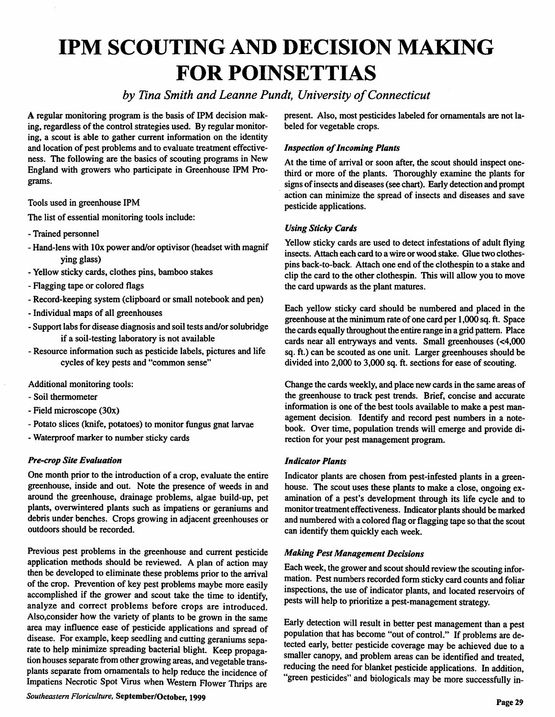# *IPM SCOUTING AND DECISION MAKING FOR POINSETTIAS*

### **by Tina Smith and Leanne Pundt, University of Connecticut**

A regular monitoring program is the basis of IPM decision mak ing, regardless of the control strategies used. By regular monitoring, a scout is able to gather current information on the identity and location of pest problems and to evaluate treatment effective ness. The following are the basics of scouting programs in New England with growers who participate in Greenhouse IPM Pro grams.

Tools used in greenhouse IPM

The list of essential monitoring tools include:

- Trained personnel
- Hand-lens with lOx power and/or optivisor (headset with magnif ying glass)
- Yellow sticky cards, clothes pins, bamboo stakes
- Flagging tape or colored flags
- Record-keeping system (clipboard or small notebook and pen)
- Individual maps of all greenhouses
- Support labs for disease diagnosis and soil tests and/or solubridge if a soil-testing laboratory is not available
- Resource information such as pesticide labels, pictures and life cycles of key pests and "common sense"

Additional monitoring tools:

- Soil thermometer
- Field microscope (30x)
- Potato slices (knife, potatoes) to monitor fungus gnat larvae
- Waterproof marker to number sticky cards

#### *Pre-crop Site Evaluation*

One month prior to the introduction of a crop, evaluate the entire greenhouse, inside and out. Note the presence of weeds in and around the greenhouse, drainage problems, algae build-up, pet plants, overwintered plants such as impatiens or geraniums and debris under benches. Crops growing in adjacent greenhouses or outdoors should be recorded.

Previous pest problems in the greenhouse and current pesticide application methods should be reviewed. A plan of action may then be developed to eliminate these problems prior to the arrival of the crop. Prevention of key pest problems maybe more easily accomplished if the grower and scout take the time to identify, analyze and correct problems before crops are introduced. Also.consider how the variety of plants to be grown in the same area may influence ease of pesticide applications and spread of disease. For example, keep seedling and cutting geraniums sepa rate to help minimize spreading bacterial blight. Keep propaga tion houses separate from other growing areas, and vegetable transplants separate from ornamentals to help reduce the incidence of Impatiens Necrotic Spot Virus when Western Flower Thrips are

*Southeastern Floriculture, September/October, 1999*

present. Also, most pesticides labeled for ornamentals are not la beled for vegetable crops.

#### *Inspection ofIncoming Plants*

At the time of arrival or soon after, the scout should inspect onethird or more of the plants. Thoroughly examine the plants for signs of insects and diseases (see chart). Early detection and prompt action can minimize the spread of insects and diseases and save pesticide applications.

#### *Using Sticky Cards*

Yellow sticky cards are used to detect infestations of adult flying insects. Attach each card to a wire or wood stake. Glue two clothes pins back-to-back. Attach one end of the clothespin to a stake and clip the card to the other clothespin. This will allow you to move the card upwards as the plant matures.

Each yellow sticky card should be numbered and placed in the greenhouse at the minimum rate of one card per 1,000 sq. ft. Space the cards equally throughout the entire range in a grid pattern. Place cards near all entryways and vents. Small greenhouses (<4,000 sq. ft.) can be scouted as one unit. Larger greenhouses should be divided into 2,000 to 3,000 sq. ft. sections for ease of scouting.

Change the cards weekly, and place new cards in the same areas of the greenhouse to track pest trends. Brief, concise and accurate information is one of the best tools available to make a pest man agement decision. Identify and record pest numbers in a note book. Over time, population trends will emerge and provide di rection for your pest management program.

#### *Indicator Plants*

Indicator plants are chosen from pest-infested plants in a greenhouse. The scout uses these plants to make a close, ongoing examination of a pest's development through its life cycle and to monitor treatment effectiveness. Indicator plants should be marked and numbered with a colored flag or flagging tape so that the scout can identify them quickly each week.

#### *Making Pest Management Decisions*

Each week, the grower and scout should review the scouting information. Pest numbers recorded form sticky card counts and foliar inspections, the use of indicator plants, and located reservoirs of pests will help to prioritize a pest-management strategy.

Early detection will result in better pest management than a pest population that has become "out of control." If problems are detected early, better pesticide coverage may be achieved due to a smaller canopy, and problem areas can be identified and treated, reducing the need for blanket pesticide applications. In addition, "green pesticides" and biologicals may be more successfully in